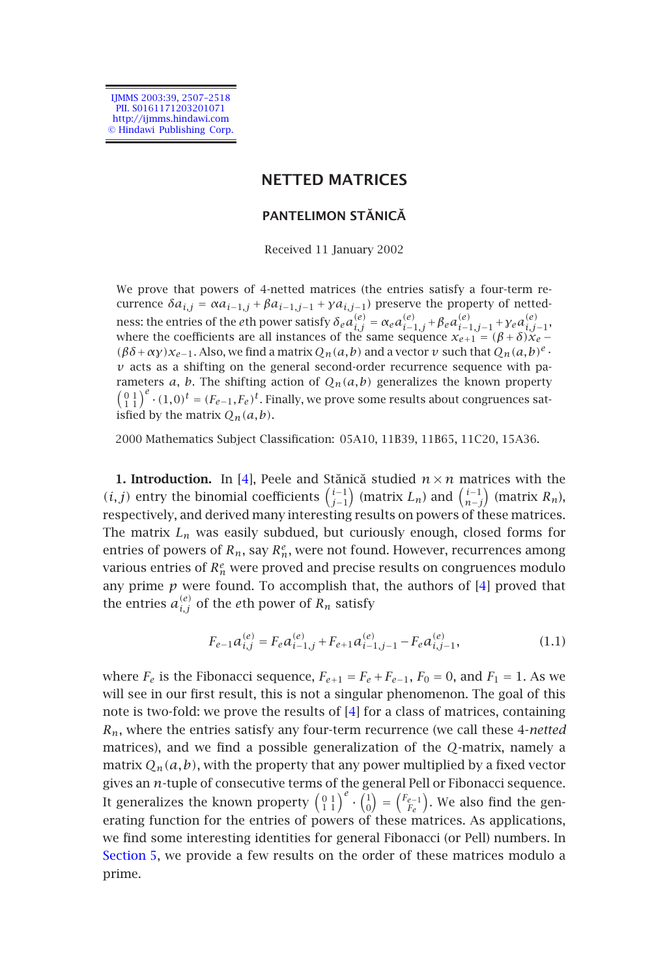IJMMS 2003:39, 2507–2518 PII. S0161171203201071 http://ijmms.hindawi.com © Hindawi Publishing Corp.

# **NETTED MATRICES**

# **PANTELIMON STĂNICĂ**

Received 11 January 2002

We prove that powers of 4-netted matrices (the entries satisfy a four-term recurrence  $\delta a_{i,j} = \alpha a_{i-1,j} + \beta a_{i-1,j-1} + \gamma a_{i,j-1}$ ) preserve the property of nettedn[e](#page-11-0)ss: the entries of the *e*th power satisfy  $\delta_e a_{i,j}^{(e)} = \alpha_e a_{i-1,j}^{(e)} + \beta_e a_{i-1,j-1}^{(e)} + \gamma_e a_{i,j-1}^{(e)},$ where the coefficients are all instances of the same sequence  $x_{e+1} = (\beta + \delta)x_e$  −  $(\beta \delta + \alpha \gamma)x_{e-1}$ . Also, we find a matrix  $Q_n(a,b)$  and a vector *v* such that  $Q_n(a,b)^e$ .  $\nu$  acts as a shifting on the general second-order recurrence sequence with parameters  $a$ ,  $b$ . The shifting action of  $Q_n(a,b)$  generalizes the known property  $\left(\begin{smallmatrix}0&1\\1&1\end{smallmatrix}\right)^e \cdot (1,0)^t = (F_{e-1},F_e)^t$ . Finally, we prove some results about congruences satisfied by the matrix  $O_n(a,b)$ .

2000 Mathematics Subject Classification: 05A10, 11B39, 11B65, 11[C2](#page-11-0)0, 15A36.

**1. Introduction.** In [4], Peele and Stănică studied  $n \times n$  matrices with the *(i, j)* entry the binomial coefficients  $\binom{i-1}{j-1}$  (matrix *L<sub>n</sub>*) and  $\binom{i-1}{n-j}$  (matrix *R<sub>n</sub>*), respectively, and derived many interesting results on powers of these matrices. The matrix  $L_n$  was easily subdued, but curiously enough, closed forms for entries of powers of  $R_n$ , say  $R_n^e$ , were not [fo](#page-11-0)und. However, recurrences among various entries of  $R_n^e$  were proved and precise results on congruences modulo any prime  $p$  were found. To accomplish that, the authors of  $[4]$  proved that the entries  $a_{i,j}^{(e)}$  of the *e*th power of  $R_n$  satisfy

$$
F_{e-1}a_{i,j}^{(e)} = F_e a_{i-1,j}^{(e)} + F_{e+1} a_{i-1,j-1}^{(e)} - F_e a_{i,j-1}^{(e)},
$$
\n(1.1)

where  $F_e$  is the Fibonacci sequence,  $F_{e+1} = F_e + F_{e-1}$ ,  $F_0 = 0$ , and  $F_1 = 1$ . As we [will see in](#page-9-0) our first result, this is not a singular phenomenon. The goal of this note is two-fold: we prove the results of [4] for a class of matrices, containing *Rn*, where the entries satisfy any four-term recurrence (we call these 4-*netted* matrices), and we find a possible generalization of the *Q*-matrix, namely a matrix  $Q_n(a,b)$ , with the property that any power multiplied by a fixed vector gives an *n*-tuple of consecutive terms of the general Pell or Fibonacci sequence. It generalizes the known property  $\begin{pmatrix} 0 & 1 \\ 1 & 1 \end{pmatrix}^e \cdot \begin{pmatrix} 1 \\ 0 \end{pmatrix} = \begin{pmatrix} F_{e-1} \\ F_e \end{pmatrix}$ . We also find the generating function for the entries of powers of these matrices. As applications, we find some interesting identities for general Fibonacci (or Pell) numbers. In Section 5, we provide a few results on the order of these matrices modulo a prime.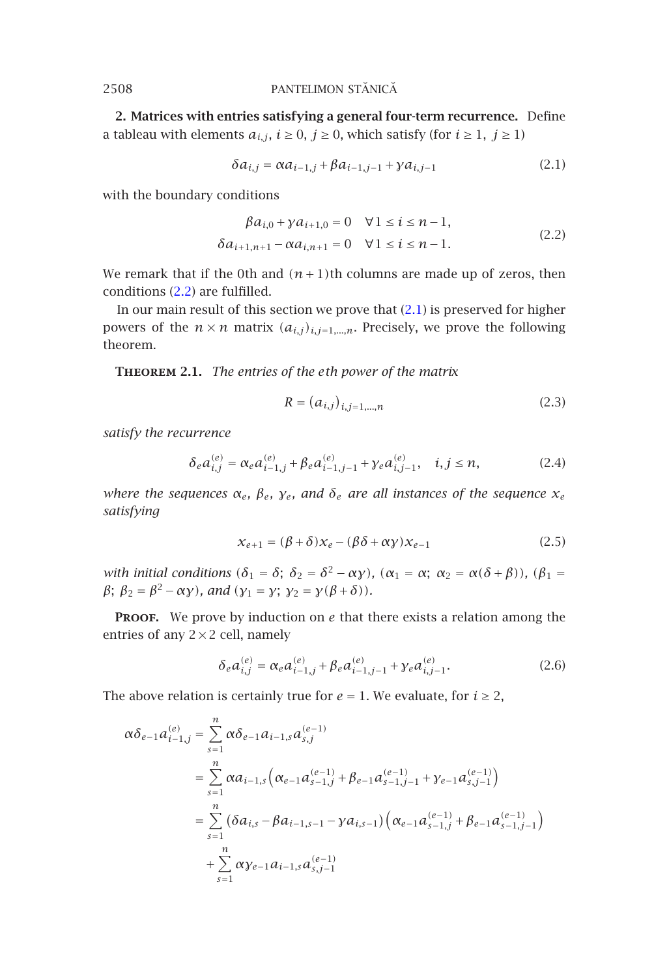**2. Matrices with entries satisfying a general four-term recurrence.** Define a tableau w[ith e](#page-1-0)lements  $a_{i,j}$ ,  $i \ge 0$ ,  $j \ge 0$ , which satisfy (for  $i \ge 1$ ,  $j \ge 1$ )

<span id="page-1-1"></span><span id="page-1-0"></span>
$$
\delta a_{i,j} = \alpha a_{i-1,j} + \beta a_{i-1,j-1} + \gamma a_{i,j-1}
$$
 (2.1)

with the boundary conditions

$$
\beta a_{i,0} + \gamma a_{i+1,0} = 0 \quad \forall 1 \le i \le n-1,\delta a_{i+1,n+1} - \alpha a_{i,n+1} = 0 \quad \forall 1 \le i \le n-1.
$$
\n(2.2)

We remark that if the 0th and  $(n+1)$ th columns are made up of zeros, then conditions (2.2) are fulfilled.

In our main result of this section we prove that (2.1) is preserved for higher powers of the  $n \times n$  matrix  $(a_{i,j})_{i,j=1,\dots,n}$ . Precisely, we prove the following theorem.

**Theorem 2.1.** *The entries of the eth power of the matrix*

$$
R = (a_{i,j})_{i,j=1,\dots,n}
$$
 (2.3)

*satisfy the recurrence*

$$
\delta_e a_{i,j}^{(e)} = \alpha_e a_{i-1,j}^{(e)} + \beta_e a_{i-1,j-1}^{(e)} + \gamma_e a_{i,j-1}^{(e)}, \quad i,j \le n,
$$
 (2.4)

*where the sequences αe, βe, γe, and δe are all instances of the sequence xe satisfying*

$$
x_{e+1} = (\beta + \delta)x_e - (\beta \delta + \alpha y)x_{e-1}
$$
 (2.5)

*with initial conditions*  $(\delta_1 = \delta; \ \delta_2 = \delta^2 - \alpha \gamma)$ *,*  $(\alpha_1 = \alpha; \ \alpha_2 = \alpha(\delta + \beta))$ *,*  $(\beta_1 = \alpha)$ *β*;  $\beta_2 = \beta^2 - \alpha \gamma$ *), and*  $(\gamma_1 = \gamma; \gamma_2 = \gamma(\beta + \delta))$ *.* 

PROOF. We prove by induction on *e* that there exists a relation among the entries of any  $2 \times 2$  cell, namely

$$
\delta_e a_{i,j}^{(e)} = \alpha_e a_{i-1,j}^{(e)} + \beta_e a_{i-1,j-1}^{(e)} + \gamma_e a_{i,j-1}^{(e)}.
$$
 (2.6)

The above relation is certainly true for  $e = 1$ . We evaluate, for  $i \geq 2$ ,

$$
\alpha \delta_{e-1} a_{i-1,j}^{(e)} = \sum_{s=1}^{n} \alpha \delta_{e-1} a_{i-1,s} a_{s,j}^{(e-1)}
$$
  
= 
$$
\sum_{s=1}^{n} \alpha a_{i-1,s} \left( \alpha_{e-1} a_{s-1,j}^{(e-1)} + \beta_{e-1} a_{s-1,j-1}^{(e-1)} + \gamma_{e-1} a_{s,j-1}^{(e-1)} \right)
$$
  
= 
$$
\sum_{s=1}^{n} (\delta a_{i,s} - \beta a_{i-1,s-1} - \gamma a_{i,s-1}) \left( \alpha_{e-1} a_{s-1,j}^{(e-1)} + \beta_{e-1} a_{s-1,j-1}^{(e-1)} \right)
$$
  
+ 
$$
\sum_{s=1}^{n} \alpha \gamma_{e-1} a_{i-1,s} a_{s,j-1}^{(e-1)}
$$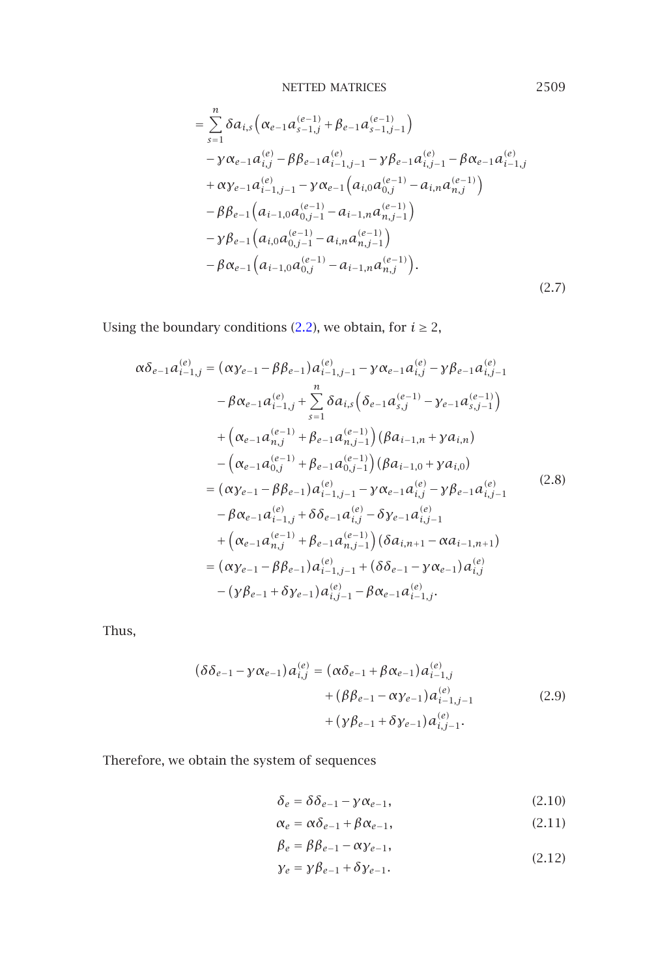NETTED MATRICES  
\n
$$
= \sum_{s=1}^{n} \delta a_{i,s} \left( \alpha_{e-1} a_{s-1,j}^{(e-1)} + \beta_{e-1} a_{s-1,j-1}^{(e-1)} \right)
$$
\n
$$
- \gamma \alpha_{e-1} a_{i,j}^{(e)} - \beta \beta_{e-1} a_{i-1,j-1}^{(e)} - \gamma \beta_{e-1} a_{i,j-1}^{(e)} - \beta \alpha_{e-1} a_{i-1,j}^{(e)}
$$
\n
$$
+ \alpha \gamma_{e-1} a_{i-1,j-1}^{(e)} - \gamma \alpha_{e-1} \left( a_{i,0} a_{0,j}^{(e-1)} - a_{i,n} a_{n,j}^{(e-1)} \right)
$$
\n
$$
- \beta \beta_{e-1} \left( a_{i-1,0} a_{0,j-1}^{(e-1)} - a_{i-1,n} a_{n,j-1}^{(e-1)} \right)
$$
\n
$$
- \gamma \beta_{e-1} \left( a_{i,0} a_{0,j-1}^{(e-1)} - a_{i,n} a_{n,j-1}^{(e-1)} \right)
$$
\n
$$
- \beta \alpha_{e-1} \left( a_{i-1,0} a_{0,j}^{(e-1)} - a_{i-1,n} a_{n,j}^{(e-1)} \right).
$$
\n(2.7)

Using the boundary conditions (2.2), we obtain, for  $i \ge 2$ ,

$$
\alpha \delta_{e-1} a_{i-1,j}^{(e)} = (\alpha \gamma_{e-1} - \beta \beta_{e-1}) a_{i-1,j-1}^{(e)} - \gamma \alpha_{e-1} a_{i,j}^{(e)} - \gamma \beta_{e-1} a_{i,j-1}^{(e)}
$$
  
\n
$$
- \beta \alpha_{e-1} a_{i-1,j}^{(e)} + \sum_{s=1}^{n} \delta a_{i,s} (\delta_{e-1} a_{s,j}^{(e-1)} - \gamma_{e-1} a_{s,j-1}^{(e-1)})
$$
  
\n
$$
+ (\alpha_{e-1} a_{n,j}^{(e-1)} + \beta_{e-1} a_{n,j-1}^{(e-1)}) (\beta a_{i-1,n} + \gamma a_{i,n})
$$
  
\n
$$
- (\alpha_{e-1} a_{0,j}^{(e-1)} + \beta_{e-1} a_{0,j-1}^{(e-1)}) (\beta a_{i-1,0} + \gamma a_{i,0})
$$
  
\n
$$
= (\alpha \gamma_{e-1} - \beta \beta_{e-1}) a_{i-1,j-1}^{(e)} - \gamma \alpha_{e-1} a_{i,j}^{(e)} - \gamma \beta_{e-1} a_{i,j-1}^{(e)}
$$
  
\n
$$
- \beta \alpha_{e-1} a_{i-1,j}^{(e)} + \delta \delta_{e-1} a_{i,j}^{(e)} - \delta \gamma_{e-1} a_{i,j-1}^{(e)}
$$
  
\n
$$
+ (\alpha_{e-1} a_{n,j}^{(e-1)} + \beta_{e-1} a_{n,j-1}^{(e-1)}) (\delta a_{i,n+1} - \alpha a_{i-1,n+1})
$$
  
\n
$$
= (\alpha \gamma_{e-1} - \beta \beta_{e-1}) a_{i-1,j-1}^{(e)} + (\delta \delta_{e-1} - \gamma \alpha_{e-1}) a_{i,j}^{(e)}
$$
  
\n
$$
- (\gamma \beta_{e-1} + \delta \gamma_{e-1}) a_{i,j-1}^{(e)} - \beta \alpha_{e-1} a_{i-1,j}^{(e)}.
$$

Thus,

$$
(\delta \delta_{e-1} - \gamma \alpha_{e-1}) a_{i,j}^{(e)} = (\alpha \delta_{e-1} + \beta \alpha_{e-1}) a_{i-1,j}^{(e)}
$$
  
+ 
$$
(\beta \beta_{e-1} - \alpha \gamma_{e-1}) a_{i-1,j-1}^{(e)}
$$
  
+ 
$$
(\gamma \beta_{e-1} + \delta \gamma_{e-1}) a_{i,j-1}^{(e)}
$$
. (2.9)

Therefore, we obtain the system of sequences

$$
\delta_e = \delta \delta_{e-1} - \gamma \alpha_{e-1},\tag{2.10}
$$

$$
\alpha_e = \alpha \delta_{e-1} + \beta \alpha_{e-1}, \qquad (2.11)
$$

$$
\beta_e = \beta \beta_{e-1} - \alpha \gamma_{e-1},
$$

$$
\gamma_e = \gamma \beta_{e-1} + \delta \gamma_{e-1}.
$$
\n(2.12)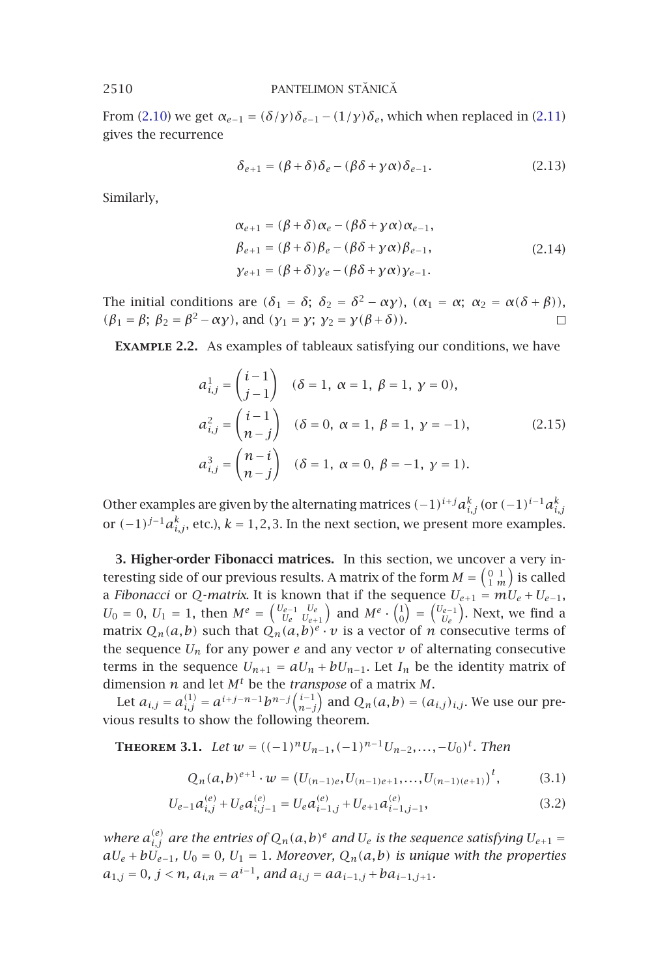From (2.10) we get  $\alpha_{e-1} = (\delta/\gamma)\delta_{e-1} - (1/\gamma)\delta_e$ , which when replaced in (2.11) gives the recurrence

$$
\delta_{e+1} = (\beta + \delta)\delta_e - (\beta\delta + \gamma\alpha)\delta_{e-1}.
$$
\n(2.13)

Similarly,

$$
\alpha_{e+1} = (\beta + \delta) \alpha_e - (\beta \delta + \gamma \alpha) \alpha_{e-1},
$$
  
\n
$$
\beta_{e+1} = (\beta + \delta) \beta_e - (\beta \delta + \gamma \alpha) \beta_{e-1},
$$
  
\n
$$
\gamma_{e+1} = (\beta + \delta) \gamma_e - (\beta \delta + \gamma \alpha) \gamma_{e-1}.
$$
\n(2.14)

The initial conditions are  $(\delta_1 = \delta; \ \delta_2 = \delta^2 - \alpha \gamma)$ ,  $(\alpha_1 = \alpha; \ \alpha_2 = \alpha(\delta + \beta))$ ,  $(\beta_1 = \beta; \ \beta_2 = \beta^2 - \alpha \gamma)$ , and  $(\gamma_1 = \gamma; \ \gamma_2 = \gamma(\beta + \delta))$ .  $\Box$ 

**Example 2.2.** As examples of tableaux satisfying our conditions, we have

$$
a_{i,j}^1 = \begin{pmatrix} i-1 \\ j-1 \end{pmatrix} \quad (\delta = 1, \ \alpha = 1, \ \beta = 1, \ \gamma = 0),
$$
  
\n
$$
a_{i,j}^2 = \begin{pmatrix} i-1 \\ n-j \end{pmatrix} \quad (\delta = 0, \ \alpha = 1, \ \beta = 1, \ \gamma = -1),
$$
  
\n
$$
a_{i,j}^3 = \begin{pmatrix} n-i \\ n-j \end{pmatrix} \quad (\delta = 1, \ \alpha = 0, \ \beta = -1, \ \gamma = 1).
$$
\n(2.15)

Other examples are given by the alternating matrices  $(-1)^{i+j}a_{i,j}^k$  (or  $(-1)^{i-1}a_{i,j}^k$ or  $(-1)^{j-1}a_{i,j}^k$ , etc.),  $k = 1, 2, 3$ . In the next section, we present more examples.

<span id="page-3-0"></span>**3. Higher-order Fibonacci matrices.** In this section, we uncover a very interesting side of our previous results. A matrix of the form  $M = \left( \begin{smallmatrix} 0 & 1 \ 1 & m \end{smallmatrix} \right)$  is called a *Fibonacci* or *Q-matrix*. It is known that if the sequence  $U_{e+1} = mU_e + U_{e-1}$ ,  $U_0 = 0$ ,  $U_1 = 1$ , then  $M^e = \begin{pmatrix} U_{e-1} & U_e \ U_e & U_{e+1} \end{pmatrix}$  and  $M^e \cdot \begin{pmatrix} 1 \ 0 \end{pmatrix} = \begin{pmatrix} U_{e-1} \ U_e \end{pmatrix}$ . Next, we find a matrix  $Q_n(a,b)$  such that  $Q_n(a,b)^e \cdot v$  is a vector of *n* consecutive terms of the sequence  $U_n$  for any power  $e$  and any vector  $v$  of alternating consecutive terms in the sequence  $U_{n+1} = aU_n + bU_{n-1}$ . Let  $I_n$  be the identity matrix of dimension *n* and let *M<sup>t</sup>* be the *transpose* of a matrix *M*.

Let  $a_{i,j} = a_{i,j}^{(1)} = a^{i+j-n-1}b^{n-j}\binom{i-1}{n-j}$  and  $Q_n(a,b) = (a_{i,j})_{i,j}$ . We use our previous results to show the following theorem.

**THEOREM** 3.1. Let  $w = ((-1)^n U_{n-1}, (-1)^{n-1} U_{n-2}, \ldots, -U_0)^t$ . Then

<span id="page-3-1"></span>
$$
Q_n(a,b)^{e+1} \cdot w = (U_{(n-1)e}, U_{(n-1)e+1}, \dots, U_{(n-1)(e+1)})^t, \tag{3.1}
$$

$$
U_{e-1}a_{i,j}^{(e)} + U_e a_{i,j-1}^{(e)} = U_e a_{i-1,j}^{(e)} + U_{e+1} a_{i-1,j-1}^{(e)},
$$
\n(3.2)

*where*  $a_{i,j}^{(e)}$  are the entries of  $Q_n(a,b)^e$  and  $U_e$  is the sequence satisfying  $U_{e+1}$  =  $aU_e + bU_{e-1}$ ,  $U_0 = 0$ ,  $U_1 = 1$ . Moreover,  $Q_n(a, b)$  is unique with the properties  $a_{1,j} = 0$ ,  $j < n$ ,  $a_{i,n} = a^{i-1}$ , and  $a_{i,j} = aa_{i-1,j} + ba_{i-1,j+1}$ .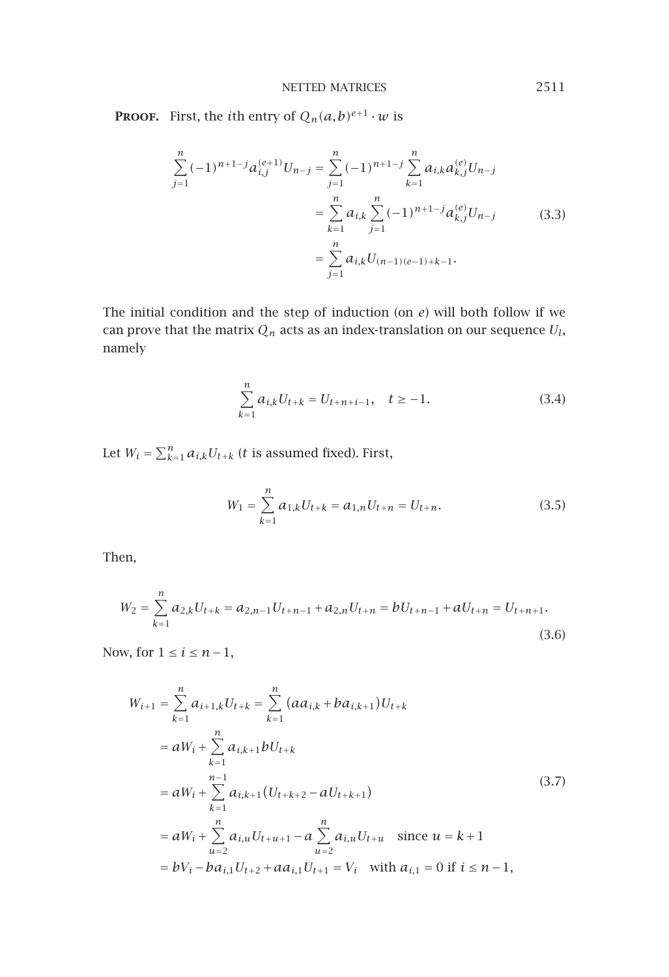**PROOF.** First, the *i*th entry of  $Q_n(a,b)^{e+1} \cdot w$  is

$$
\sum_{j=1}^{n} (-1)^{n+1-j} a_{i,j}^{(e+1)} U_{n-j} = \sum_{j=1}^{n} (-1)^{n+1-j} \sum_{k=1}^{n} a_{i,k} a_{k,j}^{(e)} U_{n-j}
$$

$$
= \sum_{k=1}^{n} a_{i,k} \sum_{j=1}^{n} (-1)^{n+1-j} a_{k,j}^{(e)} U_{n-j}
$$
(3.3)
$$
= \sum_{j=1}^{n} a_{i,k} U_{(n-1)(e-1)+k-1}.
$$

The initial condition and the step of induction (on *e*) will both follow if we can prove that the matrix  $Q_n$  acts as an index-translation on our sequence  $U_l$ , namely

$$
\sum_{k=1}^{n} a_{i,k} U_{t+k} = U_{t+n+i-1}, \quad t \ge -1.
$$
\n(3.4)

Let  $W_i = \sum_{k=1}^n a_{i,k} U_{t+k}$  (*t* is assumed fixed). First,

$$
W_1 = \sum_{k=1}^{n} a_{1,k} U_{t+k} = a_{1,n} U_{t+n} = U_{t+n}.
$$
\n(3.5)

Then,

$$
W_2 = \sum_{k=1}^{n} a_{2,k} U_{t+k} = a_{2,n-1} U_{t+n-1} + a_{2,n} U_{t+n} = b U_{t+n-1} + a U_{t+n} = U_{t+n+1}.
$$
\n(3.6)

Now, for  $1 \leq i \leq n-1$ ,

$$
W_{i+1} = \sum_{k=1}^{n} a_{i+1,k} U_{t+k} = \sum_{k=1}^{n} (a a_{i,k} + b a_{i,k+1}) U_{t+k}
$$
  
\n
$$
= a W_i + \sum_{k=1}^{n} a_{i,k+1} b U_{t+k}
$$
  
\n
$$
= a W_i + \sum_{k=1}^{n-1} a_{i,k+1} (U_{t+k+2} - a U_{t+k+1})
$$
  
\n
$$
= a W_i + \sum_{u=2}^{n} a_{i,u} U_{t+u+1} - a \sum_{u=2}^{n} a_{i,u} U_{t+u} \text{ since } u = k+1
$$
  
\n
$$
= b V_i - b a_{i,1} U_{t+2} + a a_{i,1} U_{t+1} = V_i \text{ with } a_{i,1} = 0 \text{ if } i \leq n-1,
$$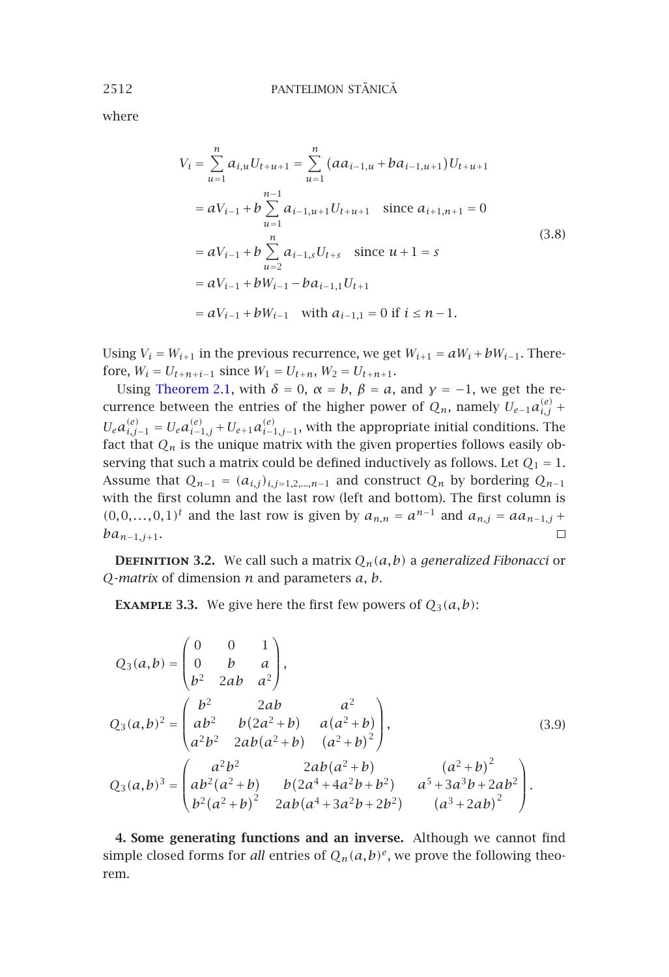where

$$
V_{i} = \sum_{u=1}^{n} a_{i,u} U_{t+u+1} = \sum_{u=1}^{n} (a a_{i-1,u} + b a_{i-1,u+1}) U_{t+u+1}
$$
  
=  $a V_{i-1} + b \sum_{u=1}^{n-1} a_{i-1,u+1} U_{t+u+1}$  since  $a_{i+1,n+1} = 0$   
=  $a V_{i-1} + b \sum_{u=2}^{n} a_{i-1,s} U_{t+s}$  since  $u + 1 = s$   
=  $a V_{i-1} + b W_{i-1} - b a_{i-1,1} U_{t+1}$   
=  $a V_{i-1} + b W_{i-1}$  with  $a_{i-1,1} = 0$  if  $i \le n - 1$ .

Using  $V_i = W_{i+1}$  in the previous recurrence, we get  $W_{i+1} = aW_i + bW_{i-1}$ . Therefore,  $W_i = U_{t+n+i-1}$  since  $W_1 = U_{t+n}$ ,  $W_2 = U_{t+n+1}$ .

Using Theorem 2.1, with  $\delta = 0$ ,  $\alpha = b$ ,  $\beta = a$ , and  $\gamma = -1$ , we get the recurrence between the entries of the higher power of  $Q_n$ , namely  $U_{e-1}a_{i,j}^{(e)}$  +  $U_e a_{i,j-1}^{(e)} = U_e a_{i-1,j}^{(e)} + U_{e+1} a_{i-1,j-1}^{(e)}$ , with the appropriate initial conditions. The fact that  $Q_n$  is the unique matrix with the given properties follows easily observing that such a matrix could be defined inductively as follows. Let  $Q_1 = 1$ . Assume that  $Q_{n-1} = (a_{i,j})_{i,j=1,2,...,n-1}$  and construct  $Q_n$  by bordering  $Q_{n-1}$ with the first column and the last row (left and bottom). The first column is  $(0,0,...,0,1)$ <sup>*t*</sup> and the last row is given by  $a_{n,n} = a^{n-1}$  and  $a_{n,j} = aa_{n-1,j} +$ *ban*<sup>−</sup>1*,j*<sup>+</sup>1.  $\Box$ 

**DEFINITION 3.2.** We call such a matrix  $Q_n(a,b)$  a *generalized Fibonacci* or *Q*-*matrix* of dimension *n* and parameters *a*, *b*.

**EXAMPLE 3.3.** We give here the first few powers of  $Q_3(a,b)$ :

$$
Q_3(a,b) = \begin{pmatrix} 0 & 0 & 1 \\ 0 & b & a \\ b^2 & 2ab & a^2 \end{pmatrix},
$$
  
\n
$$
Q_3(a,b)^2 = \begin{pmatrix} b^2 & 2ab & a^2 \\ ab^2 & b(2a^2 + b) & a(a^2 + b) \\ a^2b^2 & 2ab(a^2 + b) & (a^2 + b)^2 \end{pmatrix},
$$
  
\n
$$
Q_3(a,b)^3 = \begin{pmatrix} a^2b^2 & 2ab(a^2 + b) & (a^2 + b)^2 \\ ab^2(a^2 + b) & b(2a^4 + 4a^2b + b^2) & a^5 + 3a^3b + 2ab^2 \\ b^2(a^2 + b)^2 & 2ab(a^4 + 3a^2b + 2b^2) & (a^3 + 2ab)^2 \end{pmatrix}.
$$
\n(3.9)

**4. Some generating functions and an inverse.** Although we cannot find simple closed forms for *all* entries of  $Q_n(a,b)^e$ , we prove the following theorem.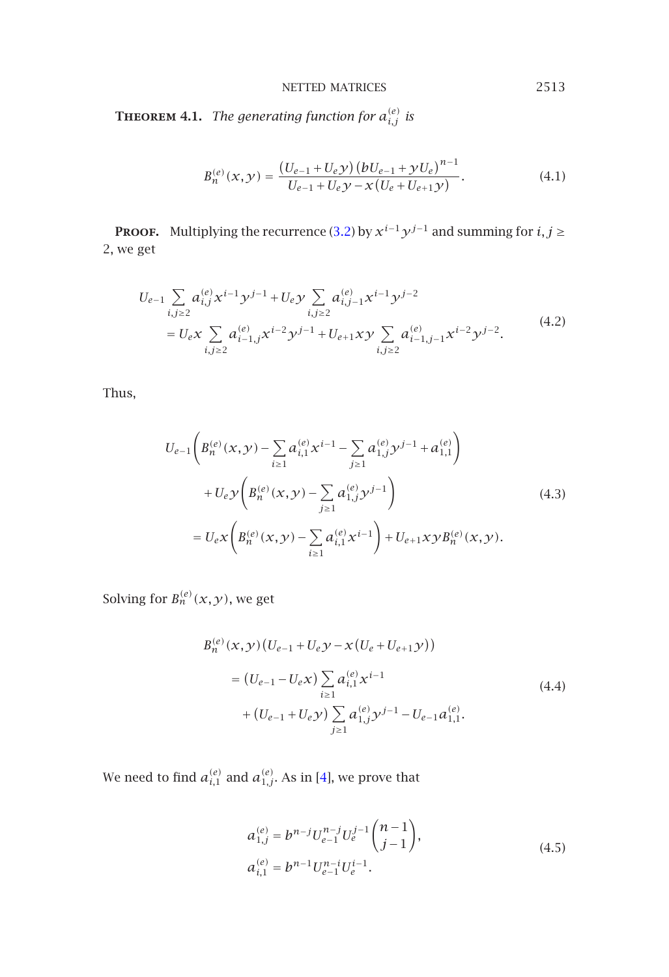NETTED MATRICES 2513

**THEOREM 4.1.** The generating function for  $a_{i,j}^{(e)}$  is

$$
B_n^{(e)}(x, y) = \frac{(U_{e-1} + U_e y)(bU_{e-1} + yU_e)^{n-1}}{U_{e-1} + U_e y - x(U_e + U_{e+1}y)}.
$$
(4.1)

**PROOF.** Multiplying the recurrence (3.2) by  $x^{i-1}y^{j-1}$  and summing for *i*, *j* ≥ 2, we get

$$
U_{e-1} \sum_{i,j\geq 2} a_{i,j}^{(e)} x^{i-1} y^{j-1} + U_e y \sum_{i,j\geq 2} a_{i,j-1}^{(e)} x^{i-1} y^{j-2}
$$
  
= 
$$
U_e x \sum_{i,j\geq 2} a_{i-1,j}^{(e)} x^{i-2} y^{j-1} + U_{e+1} xy \sum_{i,j\geq 2} a_{i-1,j-1}^{(e)} x^{i-2} y^{j-2}.
$$
 (4.2)

Thus,

$$
U_{e-1}\left(B_n^{(e)}(x,y) - \sum_{i\geq 1} a_{i,1}^{(e)} x^{i-1} - \sum_{j\geq 1} a_{1,j}^{(e)} y^{j-1} + a_{1,1}^{(e)}\right) + U_e y \left(B_n^{(e)}(x,y) - \sum_{j\geq 1} a_{1,j}^{(e)} y^{j-1}\right) = U_e x \left(B_n^{(e)}(x,y) - \sum_{i\geq 1} a_{i,1}^{(e)} x^{i-1}\right) + U_{e+1} xy B_n^{(e)}(x,y).
$$
\n(4.3)

Solving for  $B_n^{(e)}(x,y)$ , we get

<span id="page-6-0"></span>
$$
B_n^{(e)}(x, y) (U_{e-1} + U_e y - x (U_e + U_{e+1} y))
$$
  
=  $(U_{e-1} - U_e x) \sum_{i \ge 1} a_{i,1}^{(e)} x^{i-1}$   
+  $(U_{e-1} + U_e y) \sum_{j \ge 1} a_{1,j}^{(e)} y^{j-1} - U_{e-1} a_{1,1}^{(e)}$ . (4.4)

We need to find  $a_{i,1}^{(e)}$  and  $a_{1,j}^{(e)}$ . As in [4], we prove that

$$
a_{1,j}^{(e)} = b^{n-j} U_{e-1}^{n-j} U_e^{j-1} {n-1 \choose j-1},
$$
  
\n
$$
a_{i,1}^{(e)} = b^{n-1} U_{e-1}^{n-i} U_e^{j-1}.
$$
\n(4.5)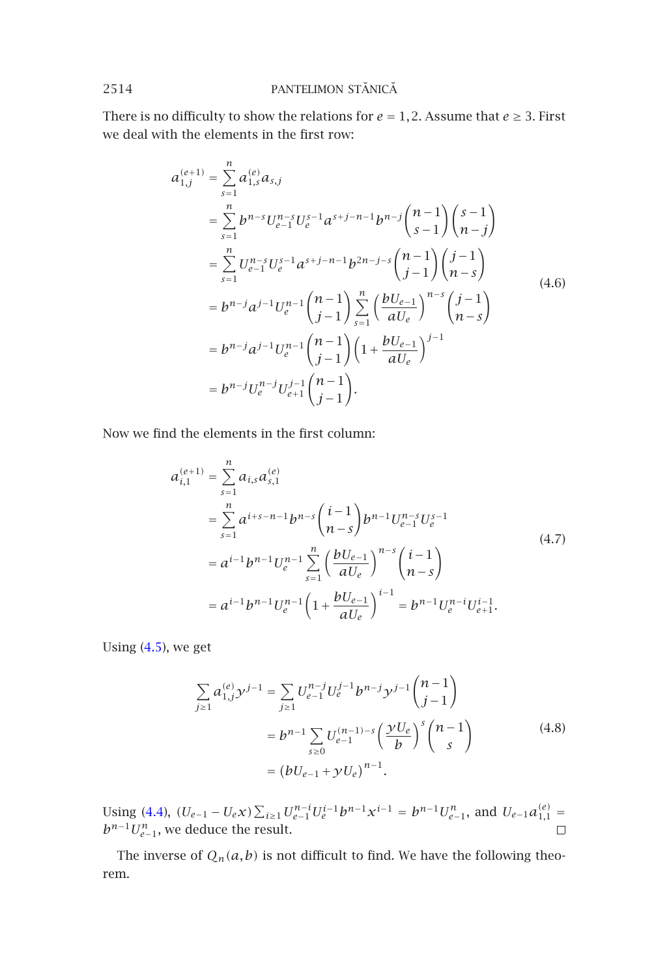There is no difficulty to show the relations for  $e = 1, 2$ . Assume that  $e \geq 3$ . First we deal with the elements in the first row:

$$
a_{1,j}^{(e+1)} = \sum_{s=1}^{n} a_{1,s}^{(e)} a_{s,j}
$$
  
\n
$$
= \sum_{s=1}^{n} b^{n-s} U_{e-1}^{n-s} U_{e}^{s-1} a^{s+j-n-1} b^{n-j} {n-1 \choose s-1} {s-1 \choose n-j}
$$
  
\n
$$
= \sum_{s=1}^{n} U_{e-1}^{n-s} U_{e}^{s-1} a^{s+j-n-1} b^{2n-j-s} {n-1 \choose j-1} {j-1 \choose n-s}
$$
  
\n
$$
= b^{n-j} a^{j-1} U_{e}^{n-1} {n-1 \choose j-1} \sum_{s=1}^{n} \left( \frac{b U_{e-1}}{a U_{e}} \right)^{n-s} {j-1 \choose n-s}
$$
  
\n
$$
= b^{n-j} a^{j-1} U_{e}^{n-1} {n-1 \choose j-1} \left( 1 + \frac{b U_{e-1}}{a U_{e}} \right)^{j-1}
$$
  
\n
$$
= b^{n-j} U_{e}^{n-j} U_{e+1}^{j-1} {n-1 \choose j-1}.
$$

Now we find the elements in the first column:

$$
a_{i,1}^{(e+1)} = \sum_{s=1}^{n} a_{i,s} a_{s,1}^{(e)}
$$
  
\n
$$
= \sum_{s=1}^{n} a^{i+s-n-1} b^{n-s} {i-1 \choose n-s} b^{n-1} U_{e-1}^{n-s} U_{e}^{s-1}
$$
  
\n
$$
= a^{i-1} b^{n-1} U_{e}^{n-1} \sum_{s=1}^{n} \left( \frac{b U_{e-1}}{a U_{e}} \right)^{n-s} {i-1 \choose n-s}
$$
  
\n
$$
= a^{i-1} b^{n-1} U_{e}^{n-1} \left( 1 + \frac{b U_{e-1}}{a U_{e}} \right)^{i-1} = b^{n-1} U_{e}^{n-i} U_{e+1}^{i-1}.
$$
  
\n(4.7)

Using ([4.5\)](#page-6-0), we get

$$
\sum_{j\geq 1} a_{1,j}^{(e)} y^{j-1} = \sum_{j\geq 1} U_{e-1}^{n-j} U_e^{j-1} b^{n-j} y^{j-1} {n-1 \choose j-1}
$$

$$
= b^{n-1} \sum_{s\geq 0} U_{e-1}^{(n-1)-s} \left(\frac{\gamma U_e}{b}\right)^s {n-1 \choose s}
$$

$$
= (bU_{e-1} + \gamma U_e)^{n-1}.
$$
(4.8)

Using (4.4),  $(U_{e-1} - U_e \chi) \sum_{i \ge 1} U_{e-1}^{n-i} U_e^{i-1} b^{n-1} \chi^{i-1} = b^{n-1} U_{e-1}^n$ , and  $U_{e-1} a_{1,1}^{(e)} =$  $b^{n-1}U_{e-1}^n$ , we deduce the result.

The inverse of  $Q_n(a,b)$  is not difficult to find. We have the following theorem.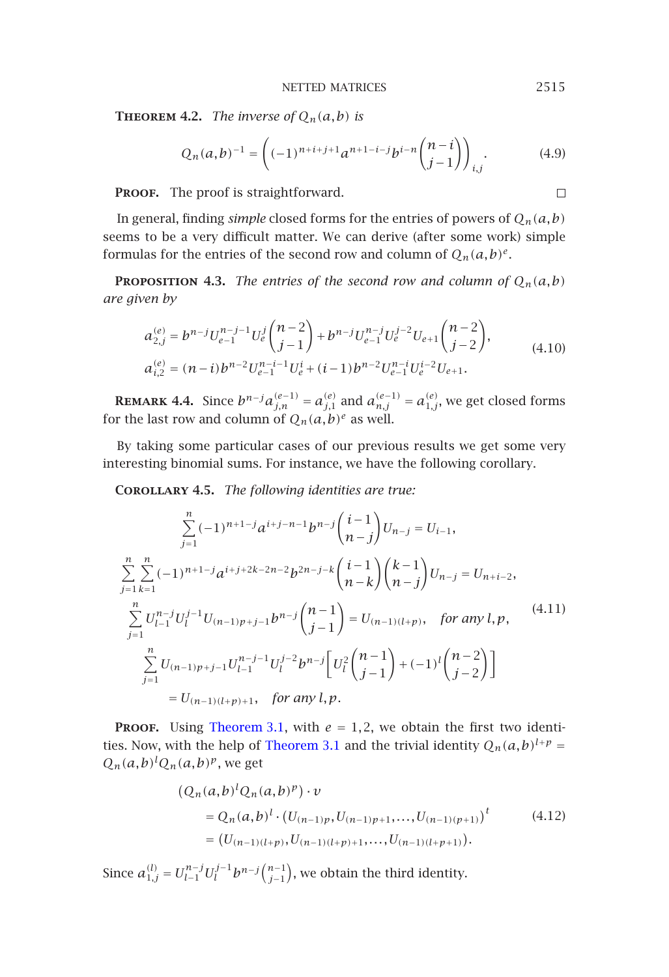NETTED MATRICES 2515

 $\Box$ 

**THEOREM 4.2.** *The inverse of*  $Q_n(a,b)$  *is* 

$$
Q_n(a,b)^{-1} = \left( (-1)^{n+i+j+1} a^{n+1-i-j} b^{i-n} \binom{n-i}{j-1} \right)_{i,j}.
$$
 (4.9)

PROOF. The proof is straightforward.

In general, finding *simple* closed forms for the entries of powers of  $Q_n(a,b)$ seems to be a very difficult matter. We can derive (after some work) simple formulas for the entries of the second row and column of  $Q_n(a,b)^e$ .

**PROPOSITION 4.3.** *The entries of the second row and column of*  $Q_n(a,b)$ *are given by*

$$
a_{2,j}^{(e)} = b^{n-j} U_{e-1}^{n-j-1} U_e^j \binom{n-2}{j-1} + b^{n-j} U_{e-1}^{n-j} U_e^{j-2} U_{e+1} \binom{n-2}{j-2},
$$
  
\n
$$
a_{i,2}^{(e)} = (n-i)b^{n-2} U_{e-1}^{n-i-1} U_e^i + (i-1)b^{n-2} U_{e-1}^{n-i} U_e^{i-2} U_{e+1}.
$$
\n(4.10)

**REMARK 4.4.** Since  $b^{n-j}a_{j,n}^{(e-1)} = a_{j,1}^{(e)}$  and  $a_{n,j}^{(e-1)} = a_{1,j}^{(e)}$ , we get closed forms for the last row and column of  $Q_n(a,b)^e$  as well.

By taking some particular cases of our previous results we get some very interesting binomial sums. For instance, we have the following corollary.

**Corollary 4.5.** *The following identities are true:*

$$
\sum_{j=1}^{n} (-1)^{n+1-j} a^{i+j-n-1} b^{n-j} {i-1 \choose n-j} U_{n-j} = U_{i-1},
$$
\n
$$
\sum_{j=1}^{n} \sum_{k=1}^{n} (-1)^{n+1-j} a^{i+j+2k-2n-2} b^{2n-j-k} {i-1 \choose n-k} {k-1 \choose n-j} U_{n-j} = U_{n+i-2},
$$
\n
$$
\sum_{j=1}^{n} U_{l-1}^{n-j} U_{l}^{j-1} U_{(n-1)p+j-1} b^{n-j} {n-1 \choose j-1} = U_{(n-1)(l+p)}, \text{ for any } l, p,
$$
\n
$$
\sum_{j=1}^{n} U_{(n-1)p+j-1} U_{l-1}^{n-j-1} U_{l}^{j-2} b^{n-j} \left[ U_{l}^{2} {n-1 \choose j-1} + (-1)^{l} {n-2 \choose j-2} \right]
$$
\n
$$
= U_{(n-1)(l+p)+1}, \text{ for any } l, p.
$$
\n(4.11)

**PROOF.** Using Theorem 3.1, with  $e = 1, 2$ , we obtain the first two identities. Now, with the help of Theorem 3.1 and the trivial identity  $Q_n(a,b)^{l+p}$  =  $Q_n(a,b)^l Q_n(a,b)^p$ , we get

$$
\begin{aligned} \left(Q_n(a,b)^l Q_n(a,b)^p\right) \cdot v \\ &= Q_n(a,b)^l \cdot \left(U_{(n-1)p}, U_{(n-1)p+1}, \dots, U_{(n-1)(p+1)}\right)^t \\ &= \left(U_{(n-1)(l+p)}, U_{(n-1)(l+p)+1}, \dots, U_{(n-1)(l+p+1)}\right). \end{aligned} \tag{4.12}
$$

Since  $a_{1,j}^{(l)} = U_{l-1}^{n-j} U_l^{j-1} b^{n-j} {n-j \choose j-1}$ , we obtain the third identity.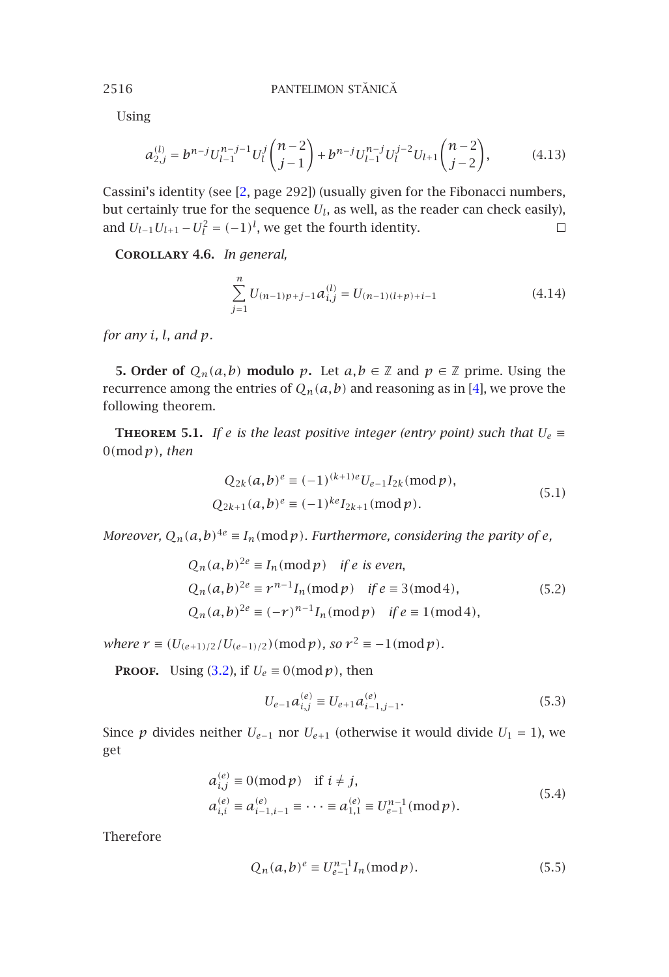Using

$$
a_{2,j}^{(l)} = b^{n-j} U_{l-1}^{n-j-1} U_l^j \binom{n-2}{j-1} + b^{n-j} U_{l-1}^{n-j} U_l^{j-2} U_{l+1} \binom{n-2}{j-2},\tag{4.13}
$$

<span id="page-9-0"></span>Cassini's identity (see [2, page 292]) (usually given for the Fibonacci numbers, but certainly true for the sequence *Ul*, as well, as the reader can check easily), and  $U_{l-1}U_{l+1} - U_l^2 = (-1)^l$ , we get the fourth identity.  $\Box$ 

<span id="page-9-1"></span>**Corollary 4.6.** *In general,*

$$
\sum_{j=1}^{n} U_{(n-1)p+j-1} a_{i,j}^{(l)} = U_{(n-1)(l+p)+i-1}
$$
\n(4.14)

*for any i, l, and p.*

**5. Order of**  $Q_n(a, b)$  **modulo**  $p$ . Let  $a, b \in \mathbb{Z}$  and  $p \in \mathbb{Z}$  prime. Using the recurrence among the entries of  $Q_n(a,b)$  and reasoning as in [4], we prove the following theorem.

**THEOREM 5.1.** *If e* is the least positive integer (entry point) such that  $U_e$   $\equiv$ 0*(*mod*p), then*

$$
Q_{2k}(a,b)^e \equiv (-1)^{(k+1)e} U_{e-1} I_{2k}(\text{mod } p),
$$
  
\n
$$
Q_{2k+1}(a,b)^e \equiv (-1)^{ke} I_{2k+1}(\text{mod } p).
$$
\n(5.1)

*Moreover,*  $Q_n(a,b)^{4e} \equiv I_n(\text{mod } p)$ *. Furthermore, considering the parity of e,* 

$$
Q_n(a,b)^{2e} \equiv I_n(\text{mod } p) \quad \text{if } e \text{ is even},
$$
  
\n
$$
Q_n(a,b)^{2e} \equiv r^{n-1}I_n(\text{mod } p) \quad \text{if } e \equiv 3(\text{mod } 4),
$$
  
\n
$$
Q_n(a,b)^{2e} \equiv (-r)^{n-1}I_n(\text{mod } p) \quad \text{if } e \equiv 1(\text{mod } 4),
$$
\n(5.2)

*where*  $r \equiv (U_{(e+1)/2}/U_{(e-1)/2}) \pmod{p}$ , so  $r^2 \equiv -1 \pmod{p}$ .

**PROOF.** Using (3.2), if  $U_e \equiv 0 \pmod{p}$ , then

$$
U_{e-1}a_{i,j}^{(e)} \equiv U_{e+1}a_{i-1,j-1}^{(e)}.\tag{5.3}
$$

Since *p* divides neither  $U_{e-1}$  nor  $U_{e+1}$  (otherwise it would divide  $U_1 = 1$ ), we get

$$
a_{i,j}^{(e)} \equiv 0 \pmod{p} \quad \text{if } i \neq j, a_{i,i}^{(e)} \equiv a_{i-1,i-1}^{(e)} \equiv \cdots \equiv a_{1,1}^{(e)} \equiv U_{e-1}^{n-1} \pmod{p}.
$$
 (5.4)

Therefore

$$
Q_n(a,b)^e \equiv U_{e-1}^{n-1} I_n \, (\text{mod } p). \tag{5.5}
$$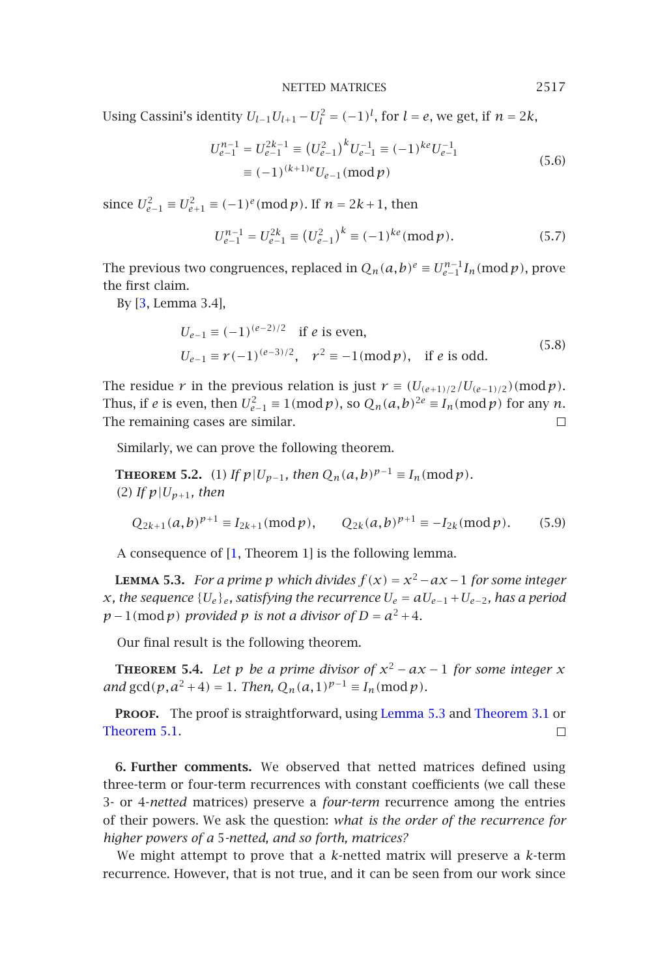NETTED MATRICES 2517

Using Cassini's identity  $U_{l-1}U_{l+1} - U_l^2 = (-1)^l$ , for  $l = e$ , we get, if  $n = 2k$ ,

$$
U_{e-1}^{n-1} = U_{e-1}^{2k-1} \equiv (U_{e-1}^2)^k U_{e-1}^{-1} \equiv (-1)^{ke} U_{e-1}^{-1}
$$
  

$$
\equiv (-1)^{(k+1)e} U_{e-1} \pmod{p}
$$
 (5.6)

since  $U_{e-1}^2 \equiv U_{e+1}^2 \equiv (-1)^e \pmod{p}$ . If *n* = 2*k* + 1, then

$$
U_{e-1}^{n-1} = U_{e-1}^{2k} \equiv (U_{e-1}^2)^k \equiv (-1)^{ke} (\text{mod } p).
$$
 (5.7)

The previous two congruences, replaced in  $Q_n(a,b)^e \equiv U_{e-1}^{n-1} I_n \pmod{p}$ , prove the first claim.

By [3, Lemma 3.4],

$$
U_{e-1} \equiv (-1)^{(e-2)/2} \text{ if } e \text{ is even,}
$$
  
\n
$$
U_{e-1} \equiv r(-1)^{(e-3)/2}, \quad r^2 \equiv -1 \pmod{p}, \text{ if } e \text{ is odd.}
$$
\n(5.8)

<span id="page-10-0"></span>The residue *r* in the previous relation is just  $r \equiv (U_{(e+1)/2}/U_{(e-1)/2}) \pmod{p}$ . Thus, if *e* is ev[en](#page-11-1), then  $U_{e-1}^2 \equiv 1 \pmod{p}$ , so  $Q_n(a, b)^{2e} \equiv I_n \pmod{p}$  for any *n*. The remaining cases are similar.  $\Box$ 

Similarly, we can prove the following theorem.

**THEOREM** 5.2. (1) *If*  $p|U_{p-1}$ *, then*  $Q_n(a,b)^{p-1} \equiv I_n \pmod{p}$ *.* (2) If  $p|U_{p+1}$ , then

$$
Q_{2k+1}(a,b)^{p+1} \equiv I_{2k+1}(\text{mod } p), \qquad Q_{2k}(a,b)^{p+1} \equiv -I_{2k}(\text{mod } p). \tag{5.9}
$$

A consequence of [1, Theorem 1] is the foll[owing lemma](#page-10-0).

**LEMMA [5.3](#page-9-1).** *For a prime p which divides*  $f(x) = x^2 - ax - 1$  *for some integer x,* the sequence  ${U_e}_e$ *<sub>e</sub>,* satisfying the recurrence  $U_e = aU_{e-1} + U_{e-2}$ *, has a period*  $p-1 \pmod{p}$  *provided p is not a divisor of*  $D = a^2 + 4$ *.* 

Our final result is the following theorem.

**THEOREM** 5.4. Let *p be a prime divisor of*  $x^2 - ax - 1$  *for some integer x and*  $gcd(p, a^2 + 4) = 1$ *. Then,*  $Q_n(a, 1)^{p-1} \equiv I_n \pmod{p}$ *.* 

**PROOF.** The proof is straightforward, using Lemma 5.3 and Theorem 3.1 or Theorem 5.1.  $\Box$ 

**6. Further comments.** We observed that netted matrices defined using three-term or four-term recurrences with constant coefficients (we call these 3- or 4-*netted* matrices) preserve a *four-term* recurrence among the entries of their powers. We ask the question: *what is the order of the recurrence for higher powers of a* 5*-netted, and so forth, matrices?*

We might attempt to prove that a *k*-netted matrix will preserve a *k*-term recurrence. However, that is not true, and it can be seen from our work since